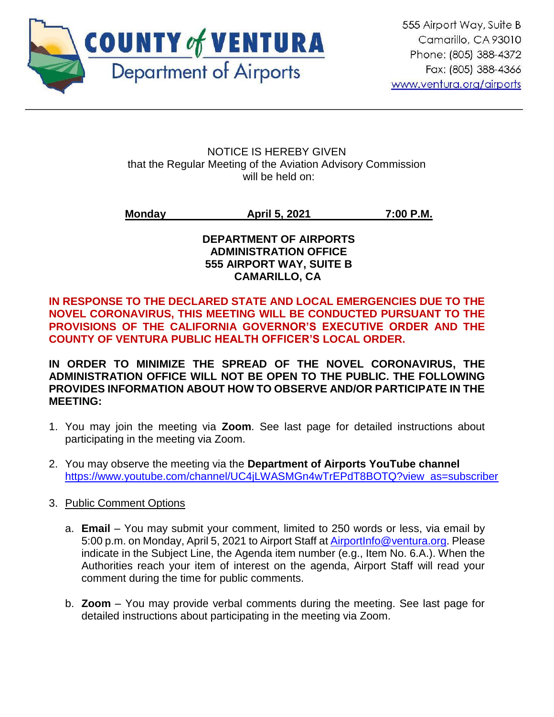

NOTICE IS HEREBY GIVEN that the Regular Meeting of the Aviation Advisory Commission will be held on:

**Monday April 5, 2021 7:00 P.M.**

## **DEPARTMENT OF AIRPORTS ADMINISTRATION OFFICE 555 AIRPORT WAY, SUITE B CAMARILLO, CA**

**IN RESPONSE TO THE DECLARED STATE AND LOCAL EMERGENCIES DUE TO THE NOVEL CORONAVIRUS, THIS MEETING WILL BE CONDUCTED PURSUANT TO THE PROVISIONS OF THE CALIFORNIA GOVERNOR'S EXECUTIVE ORDER AND THE COUNTY OF VENTURA PUBLIC HEALTH OFFICER'S LOCAL ORDER.**

**IN ORDER TO MINIMIZE THE SPREAD OF THE NOVEL CORONAVIRUS, THE ADMINISTRATION OFFICE WILL NOT BE OPEN TO THE PUBLIC. THE FOLLOWING PROVIDES INFORMATION ABOUT HOW TO OBSERVE AND/OR PARTICIPATE IN THE MEETING:** 

- 1. You may join the meeting via **Zoom**. See last page for detailed instructions about participating in the meeting via Zoom.
- 2. You may observe the meeting via the **Department of Airports YouTube channel** [https://www.youtube.com/channel/UC4jLWASMGn4wTrEPdT8BOTQ?view\\_as=subscriber](https://www.youtube.com/channel/UC4jLWASMGn4wTrEPdT8BOTQ?view_as=subscriber)

# 3. Public Comment Options

- a. **Email** You may submit your comment, limited to 250 words or less, via email by 5:00 p.m. on Monday, April 5, 2021 to Airport Staff at **AirportInfo@ventura.org**. Please indicate in the Subject Line, the Agenda item number (e.g., Item No. 6.A.). When the Authorities reach your item of interest on the agenda, Airport Staff will read your comment during the time for public comments.
- b. **Zoom** You may provide verbal comments during the meeting. See last page for detailed instructions about participating in the meeting via Zoom.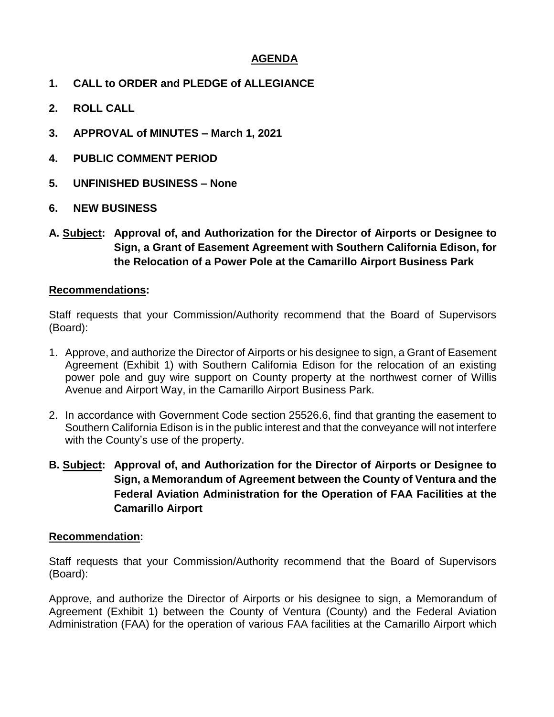## **AGENDA**

- **1. CALL to ORDER and PLEDGE of ALLEGIANCE**
- **2. ROLL CALL**
- **3. APPROVAL of MINUTES – March 1, 2021**
- **4. PUBLIC COMMENT PERIOD**
- **5. UNFINISHED BUSINESS – None**
- **6. NEW BUSINESS**
- **A. Subject: Approval of, and Authorization for the Director of Airports or Designee to Sign, a Grant of Easement Agreement with Southern California Edison, for the Relocation of a Power Pole at the Camarillo Airport Business Park**

#### **Recommendations:**

Staff requests that your Commission/Authority recommend that the Board of Supervisors (Board):

- 1. Approve, and authorize the Director of Airports or his designee to sign, a Grant of Easement Agreement (Exhibit 1) with Southern California Edison for the relocation of an existing power pole and guy wire support on County property at the northwest corner of Willis Avenue and Airport Way, in the Camarillo Airport Business Park.
- 2. In accordance with Government Code section 25526.6, find that granting the easement to Southern California Edison is in the public interest and that the conveyance will not interfere with the County's use of the property.
- **B. Subject: Approval of, and Authorization for the Director of Airports or Designee to Sign, a Memorandum of Agreement between the County of Ventura and the Federal Aviation Administration for the Operation of FAA Facilities at the Camarillo Airport**

#### **Recommendation:**

Staff requests that your Commission/Authority recommend that the Board of Supervisors (Board):

Approve, and authorize the Director of Airports or his designee to sign, a Memorandum of Agreement (Exhibit 1) between the County of Ventura (County) and the Federal Aviation Administration (FAA) for the operation of various FAA facilities at the Camarillo Airport which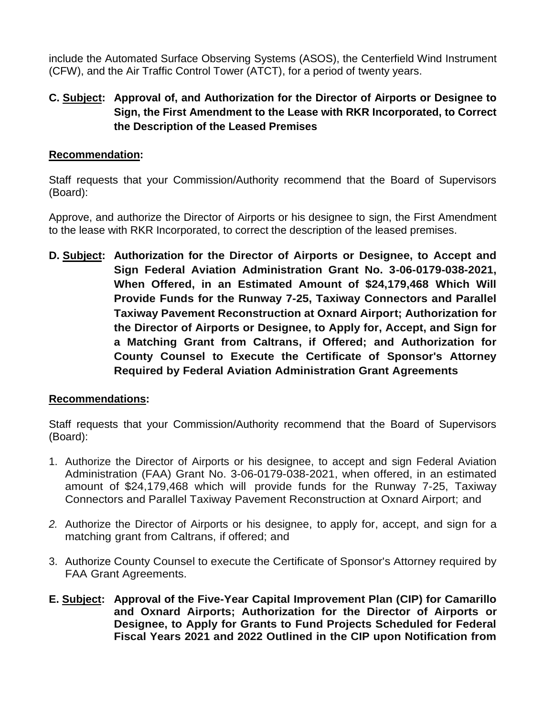include the Automated Surface Observing Systems (ASOS), the Centerfield Wind Instrument (CFW), and the Air Traffic Control Tower (ATCT), for a period of twenty years.

# **C. Subject: Approval of, and Authorization for the Director of Airports or Designee to Sign, the First Amendment to the Lease with RKR Incorporated, to Correct the Description of the Leased Premises**

## **Recommendation:**

Staff requests that your Commission/Authority recommend that the Board of Supervisors (Board):

Approve, and authorize the Director of Airports or his designee to sign, the First Amendment to the lease with RKR Incorporated, to correct the description of the leased premises.

**D. Subject: Authorization for the Director of Airports or Designee, to Accept and Sign Federal Aviation Administration Grant No. 3-06-0179-038-2021, When Offered, in an Estimated Amount of \$24,179,468 Which Will Provide Funds for the Runway 7-25, Taxiway Connectors and Parallel Taxiway Pavement Reconstruction at Oxnard Airport; Authorization for the Director of Airports or Designee, to Apply for, Accept, and Sign for a Matching Grant from Caltrans, if Offered; and Authorization for County Counsel to Execute the Certificate of Sponsor's Attorney Required by Federal Aviation Administration Grant Agreements**

# **Recommendations:**

Staff requests that your Commission/Authority recommend that the Board of Supervisors (Board):

- 1. Authorize the Director of Airports or his designee, to accept and sign Federal Aviation Administration (FAA) Grant No. 3-06-0179-038-2021, when offered, in an estimated amount of \$24,179,468 which will provide funds for the Runway 7-25, Taxiway Connectors and Parallel Taxiway Pavement Reconstruction at Oxnard Airport; and
- *2.* Authorize the Director of Airports or his designee, to apply for, accept, and sign for a matching grant from Caltrans, if offered; and
- 3. Authorize County Counsel to execute the Certificate of Sponsor's Attorney required by FAA Grant Agreements.
- **E. Subject: Approval of the Five-Year Capital Improvement Plan (CIP) for Camarillo and Oxnard Airports; Authorization for the Director of Airports or Designee, to Apply for Grants to Fund Projects Scheduled for Federal Fiscal Years 2021 and 2022 Outlined in the CIP upon Notification from**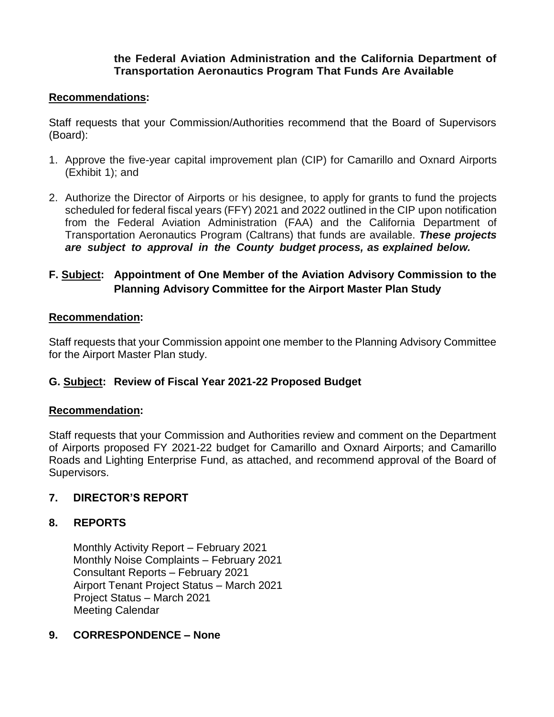## **the Federal Aviation Administration and the California Department of Transportation Aeronautics Program That Funds Are Available**

#### **Recommendations:**

Staff requests that your Commission/Authorities recommend that the Board of Supervisors (Board):

- 1. Approve the five-year capital improvement plan (CIP) for Camarillo and Oxnard Airports (Exhibit 1); and
- 2. Authorize the Director of Airports or his designee, to apply for grants to fund the projects scheduled for federal fiscal years (FFY) 2021 and 2022 outlined in the CIP upon notification from the Federal Aviation Administration (FAA) and the California Department of Transportation Aeronautics Program (Caltrans) that funds are available. *These projects are subject to approval in the County budget process, as explained below.*

# **F. Subject: Appointment of One Member of the Aviation Advisory Commission to the Planning Advisory Committee for the Airport Master Plan Study**

## **Recommendation:**

Staff requests that your Commission appoint one member to the Planning Advisory Committee for the Airport Master Plan study.

# **G. Subject: Review of Fiscal Year 2021-22 Proposed Budget**

#### **Recommendation:**

Staff requests that your Commission and Authorities review and comment on the Department of Airports proposed FY 2021-22 budget for Camarillo and Oxnard Airports; and Camarillo Roads and Lighting Enterprise Fund, as attached, and recommend approval of the Board of Supervisors.

# **7. DIRECTOR'S REPORT**

# **8. REPORTS**

Monthly Activity Report – February 2021 Monthly Noise Complaints – February 2021 Consultant Reports – February 2021 Airport Tenant Project Status – March 2021 Project Status – March 2021 Meeting Calendar

#### **9. CORRESPONDENCE – None**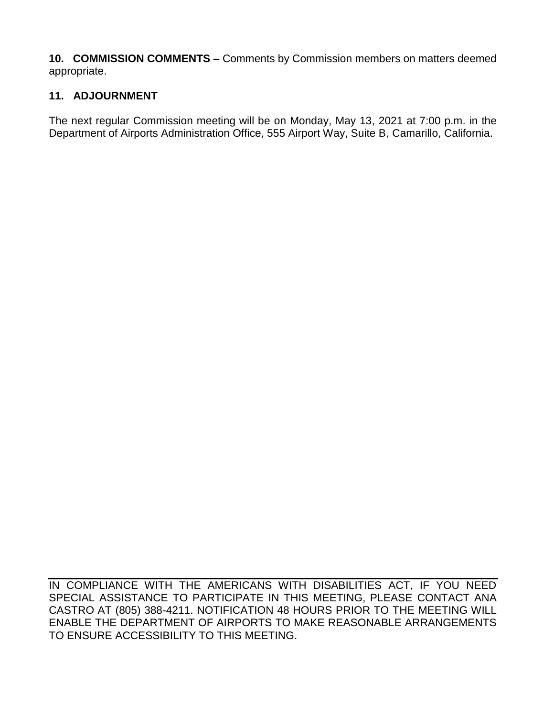**10. COMMISSION COMMENTS –** Comments by Commission members on matters deemed appropriate.

# **11. ADJOURNMENT**

The next regular Commission meeting will be on Monday, May 13, 2021 at 7:00 p.m. in the Department of Airports Administration Office, 555 Airport Way, Suite B, Camarillo, California.

IN COMPLIANCE WITH THE AMERICANS WITH DISABILITIES ACT, IF YOU NEED SPECIAL ASSISTANCE TO PARTICIPATE IN THIS MEETING, PLEASE CONTACT ANA CASTRO AT (805) 388-4211. NOTIFICATION 48 HOURS PRIOR TO THE MEETING WILL ENABLE THE DEPARTMENT OF AIRPORTS TO MAKE REASONABLE ARRANGEMENTS TO ENSURE ACCESSIBILITY TO THIS MEETING.